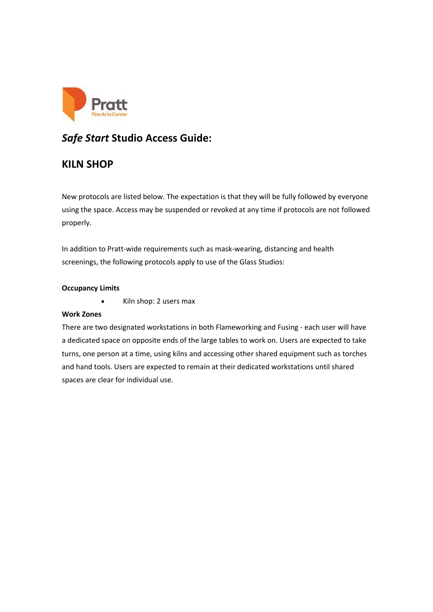

# *Safe Start* **Studio Access Guide:**

# **KILN SHOP**

New protocols are listed below. The expectation is that they will be fully followed by everyone using the space. Access may be suspended or revoked at any time if protocols are not followed properly.

In addition to Pratt-wide requirements such as mask-wearing, distancing and health screenings, the following protocols apply to use of the Glass Studios:

# **Occupancy Limits**

• Kiln shop: 2 users max

# **Work Zones**

There are two designated workstations in both Flameworking and Fusing - each user will have a dedicated space on opposite ends of the large tables to work on. Users are expected to take turns, one person at a time, using kilns and accessing other shared equipment such as torches and hand tools. Users are expected to remain at their dedicated workstations until shared spaces are clear for individual use.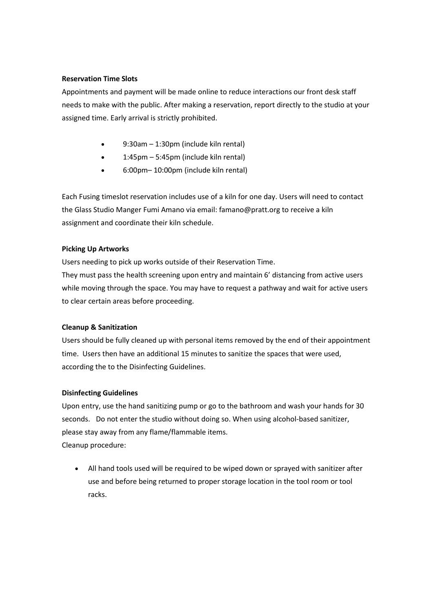#### **Reservation Time Slots**

Appointments and payment will be made online to reduce interactions our front desk staff needs to make with the public. After making a reservation, report directly to the studio at your assigned time. Early arrival is strictly prohibited.

- 9:30am 1:30pm (include kiln rental)
- 1:45pm 5:45pm (include kiln rental)
- 6:00pm– 10:00pm (include kiln rental)

Each Fusing timeslot reservation includes use of a kiln for one day. Users will need to contact the Glass Studio Manger Fumi Amano via email: famano@pratt.org to receive a kiln assignment and coordinate their kiln schedule.

### **Picking Up Artworks**

Users needing to pick up works outside of their Reservation Time. They must pass the health screening upon entry and maintain 6' distancing from active users while moving through the space. You may have to request a pathway and wait for active users to clear certain areas before proceeding.

#### **Cleanup & Sanitization**

Users should be fully cleaned up with personal items removed by the end of their appointment time.  Users then have an additional 15 minutes to sanitize the spaces that were used, according the to the Disinfecting Guidelines.

#### **Disinfecting Guidelines**

Upon entry, use the hand sanitizing pump or go to the bathroom and wash your hands for 30 seconds. Do not enter the studio without doing so. When using alcohol-based sanitizer, please stay away from any flame/flammable items. Cleanup procedure:

• All hand tools used will be required to be wiped down or sprayed with sanitizer after use and before being returned to proper storage location in the tool room or tool racks.